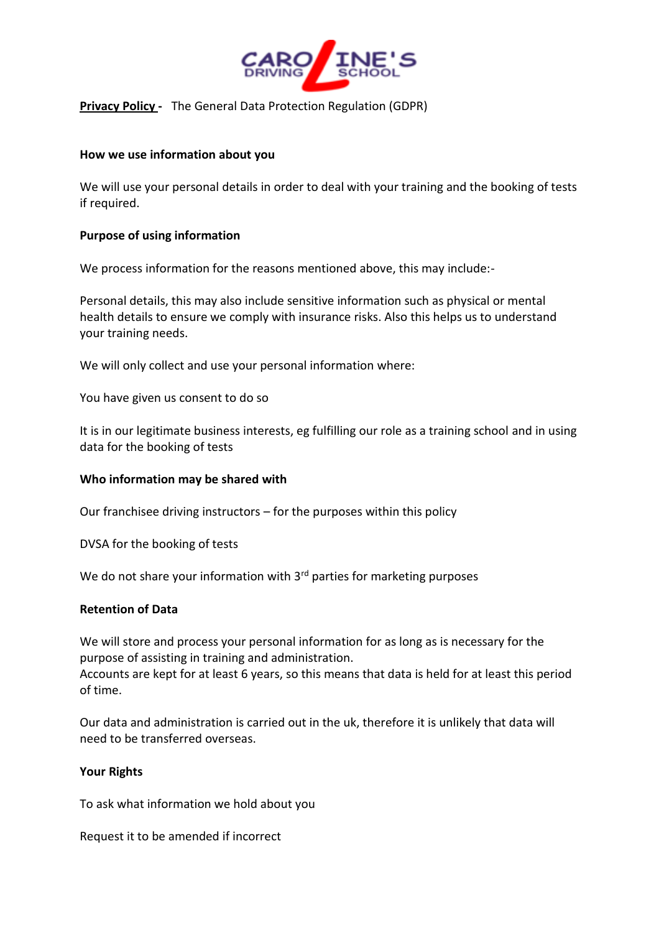

# **Privacy Policy** - The General Data Protection Regulation (GDPR)

### **How we use information about you**

We will use your personal details in order to deal with your training and the booking of tests if required.

#### **Purpose of using information**

We process information for the reasons mentioned above, this may include:-

Personal details, this may also include sensitive information such as physical or mental health details to ensure we comply with insurance risks. Also this helps us to understand your training needs.

We will only collect and use your personal information where:

You have given us consent to do so

It is in our legitimate business interests, eg fulfilling our role as a training school and in using data for the booking of tests

## **Who information may be shared with**

Our franchisee driving instructors – for the purposes within this policy

DVSA for the booking of tests

We do not share your information with 3<sup>rd</sup> parties for marketing purposes

#### **Retention of Data**

We will store and process your personal information for as long as is necessary for the purpose of assisting in training and administration.

Accounts are kept for at least 6 years, so this means that data is held for at least this period of time.

Our data and administration is carried out in the uk, therefore it is unlikely that data will need to be transferred overseas.

#### **Your Rights**

To ask what information we hold about you

Request it to be amended if incorrect